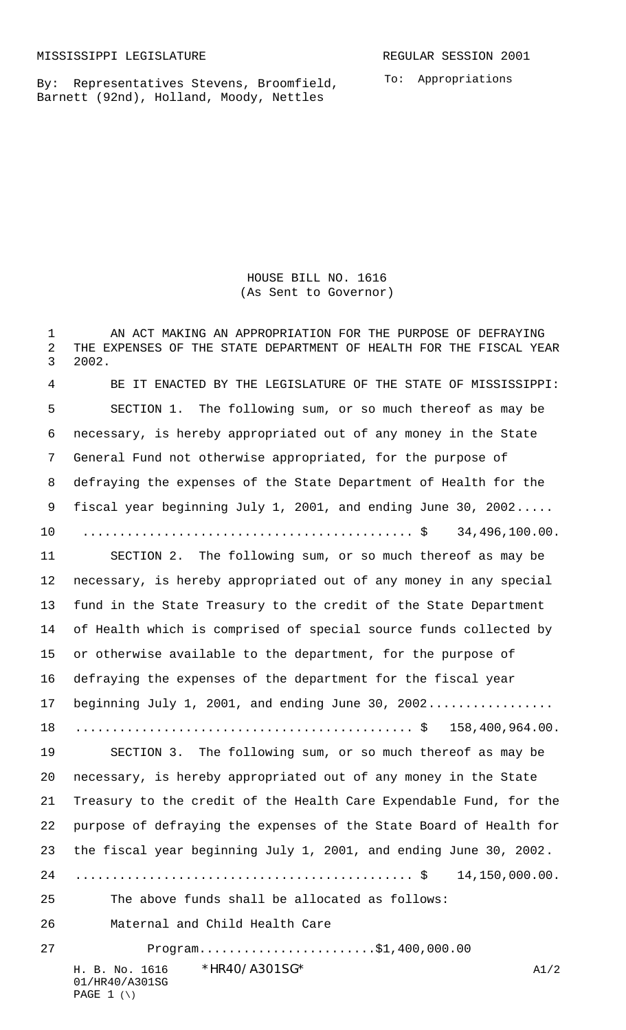By: Representatives Stevens, Broomfield, Barnett (92nd), Holland, Moody, Nettles

To: Appropriations

HOUSE BILL NO. 1616 (As Sent to Governor)

H. B. No. 1616 \* HR40/A301SG\* A1/2 1 AN ACT MAKING AN APPROPRIATION FOR THE PURPOSE OF DEFRAYING THE EXPENSES OF THE STATE DEPARTMENT OF HEALTH FOR THE FISCAL YEAR 2002. BE IT ENACTED BY THE LEGISLATURE OF THE STATE OF MISSISSIPPI: SECTION 1. The following sum, or so much thereof as may be necessary, is hereby appropriated out of any money in the State General Fund not otherwise appropriated, for the purpose of defraying the expenses of the State Department of Health for the fiscal year beginning July 1, 2001, and ending June 30, 2002..... 10 ............................................. \$ 34,496,100.00. SECTION 2. The following sum, or so much thereof as may be necessary, is hereby appropriated out of any money in any special fund in the State Treasury to the credit of the State Department of Health which is comprised of special source funds collected by or otherwise available to the department, for the purpose of defraying the expenses of the department for the fiscal year 17 beginning July 1, 2001, and ending June 30, 2002................. .............................................. \$ 158,400,964.00. SECTION 3. The following sum, or so much thereof as may be necessary, is hereby appropriated out of any money in the State Treasury to the credit of the Health Care Expendable Fund, for the purpose of defraying the expenses of the State Board of Health for the fiscal year beginning July 1, 2001, and ending June 30, 2002. .............................................. \$ 14,150,000.00. The above funds shall be allocated as follows: Maternal and Child Health Care Program........................\$1,400,000.00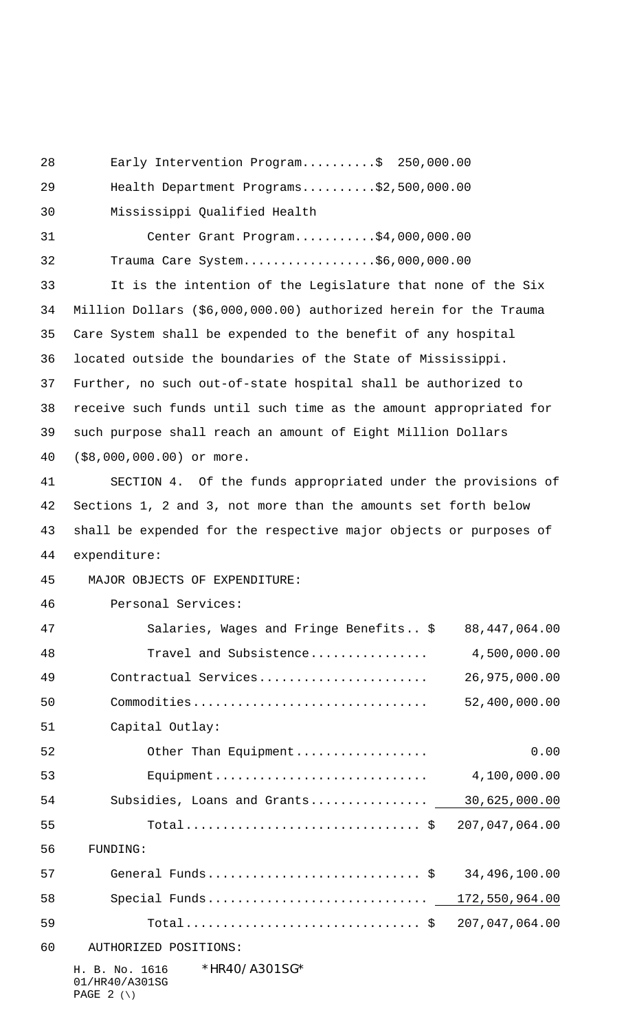H. B. No. 1616 \*HR40/A301SG\* 01/HR40/A301SG Early Intervention Program..........\$ 250,000.00 Health Department Programs..........\$2,500,000.00 Mississippi Qualified Health Center Grant Program...........\$4,000,000.00 Trauma Care System..................\$6,000,000.00 It is the intention of the Legislature that none of the Six Million Dollars (\$6,000,000.00) authorized herein for the Trauma Care System shall be expended to the benefit of any hospital located outside the boundaries of the State of Mississippi. Further, no such out-of-state hospital shall be authorized to receive such funds until such time as the amount appropriated for such purpose shall reach an amount of Eight Million Dollars (\$8,000,000.00) or more. SECTION 4. Of the funds appropriated under the provisions of Sections 1, 2 and 3, not more than the amounts set forth below shall be expended for the respective major objects or purposes of expenditure: 45 MAJOR OBJECTS OF EXPENDITURE: Personal Services: Salaries, Wages and Fringe Benefits.. \$ 88,447,064.00 Travel and Subsistence................ 4,500,000.00 Contractual Services....................... 26,975,000.00 Commodities................................ 52,400,000.00 Capital Outlay: Other Than Equipment.................. 0.00 Equipment............................. 4,100,000.00 Subsidies, Loans and Grants................ 30,625,000.00 Total................................ \$ 207,047,064.00 56 FUNDING: General Funds............................. \$ 34,496,100.00 Special Funds.............................. 172,550,964.00 Total................................ \$ 207,047,064.00 60 AUTHORIZED POSITIONS:

PAGE  $2 (\setminus)$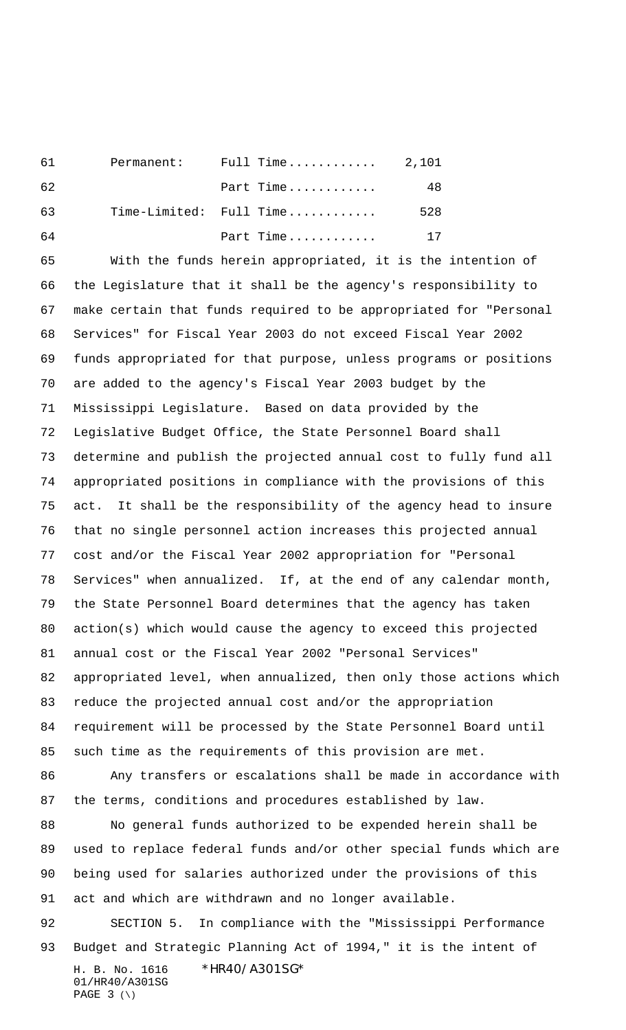| 61 | Permanent: | Full Time $2,101$       |     |
|----|------------|-------------------------|-----|
| 62 |            | Part Time               | 48  |
| 63 |            | Time-Limited: Full Time | 528 |
| 64 |            | Part Time               | 17  |

 With the funds herein appropriated, it is the intention of the Legislature that it shall be the agency's responsibility to make certain that funds required to be appropriated for "Personal Services" for Fiscal Year 2003 do not exceed Fiscal Year 2002 funds appropriated for that purpose, unless programs or positions are added to the agency's Fiscal Year 2003 budget by the Mississippi Legislature. Based on data provided by the Legislative Budget Office, the State Personnel Board shall determine and publish the projected annual cost to fully fund all appropriated positions in compliance with the provisions of this act. It shall be the responsibility of the agency head to insure that no single personnel action increases this projected annual cost and/or the Fiscal Year 2002 appropriation for "Personal Services" when annualized. If, at the end of any calendar month, the State Personnel Board determines that the agency has taken action(s) which would cause the agency to exceed this projected annual cost or the Fiscal Year 2002 "Personal Services" appropriated level, when annualized, then only those actions which reduce the projected annual cost and/or the appropriation requirement will be processed by the State Personnel Board until such time as the requirements of this provision are met. Any transfers or escalations shall be made in accordance with the terms, conditions and procedures established by law. No general funds authorized to be expended herein shall be used to replace federal funds and/or other special funds which are being used for salaries authorized under the provisions of this act and which are withdrawn and no longer available. SECTION 5. In compliance with the "Mississippi Performance Budget and Strategic Planning Act of 1994," it is the intent of

H. B. No. 1616 \*HR40/A301SG\* 01/HR40/A301SG PAGE (\)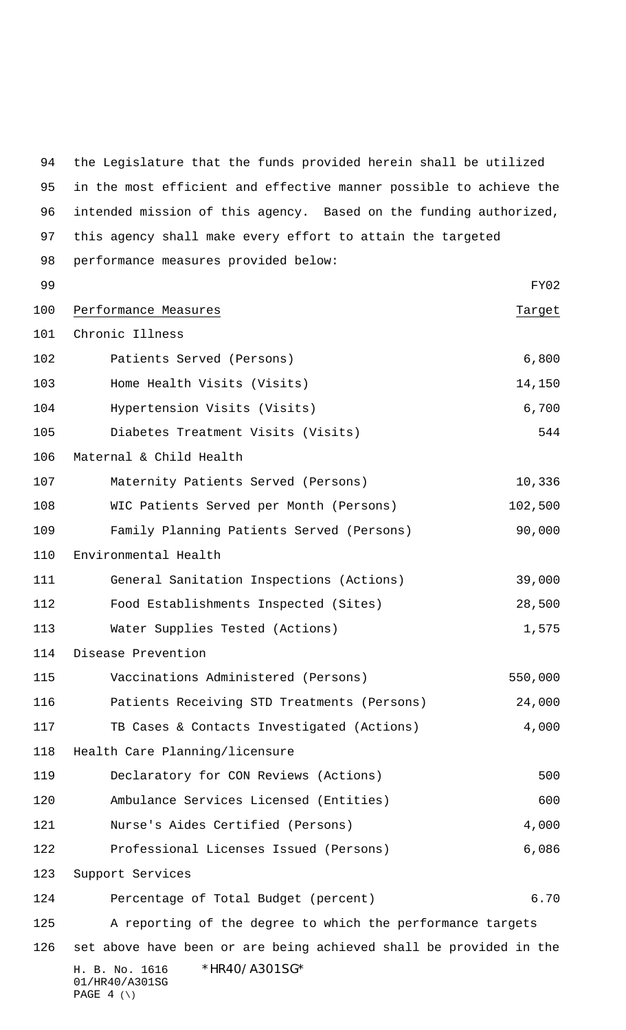H. B. No. 1616 \*HR40/A301SG\* 01/HR40/A301SG PAGE  $4 (\setminus)$  the Legislature that the funds provided herein shall be utilized in the most efficient and effective manner possible to achieve the intended mission of this agency. Based on the funding authorized, this agency shall make every effort to attain the targeted performance measures provided below: FY02 100 Performance Measures Target Chronic Illness 102 Patients Served (Persons) 6,800 Home Health Visits (Visits) 14,150 Hypertension Visits (Visits) 6,700 Diabetes Treatment Visits (Visits) 544 Maternal & Child Health Maternity Patients Served (Persons) 10,336 WIC Patients Served per Month (Persons) 102,500 Family Planning Patients Served (Persons) 90,000 Environmental Health General Sanitation Inspections (Actions) 39,000 Food Establishments Inspected (Sites) 28,500 113 Water Supplies Tested (Actions) 1,575 Disease Prevention Vaccinations Administered (Persons) 550,000 Patients Receiving STD Treatments (Persons) 24,000 TB Cases & Contacts Investigated (Actions) 4,000 Health Care Planning/licensure 119 Declaratory for CON Reviews (Actions) 500 Ambulance Services Licensed (Entities) 600 121 Nurse's Aides Certified (Persons) 4,000 Professional Licenses Issued (Persons) 6,086 Support Services Percentage of Total Budget (percent) 6.70 A reporting of the degree to which the performance targets set above have been or are being achieved shall be provided in the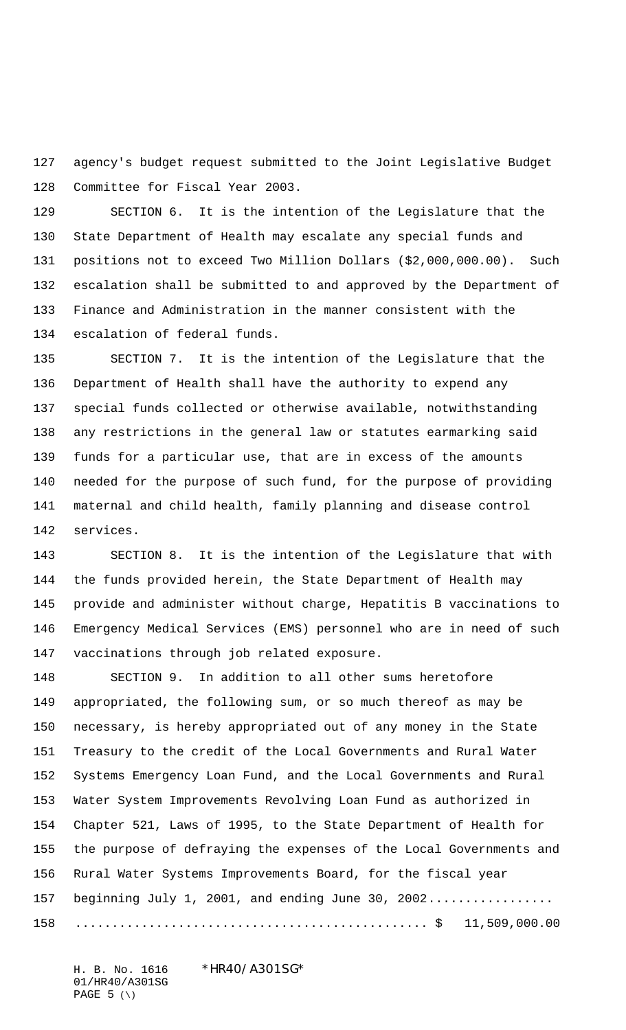agency's budget request submitted to the Joint Legislative Budget Committee for Fiscal Year 2003.

 SECTION 6. It is the intention of the Legislature that the State Department of Health may escalate any special funds and positions not to exceed Two Million Dollars (\$2,000,000.00). Such escalation shall be submitted to and approved by the Department of Finance and Administration in the manner consistent with the escalation of federal funds.

 SECTION 7. It is the intention of the Legislature that the Department of Health shall have the authority to expend any special funds collected or otherwise available, notwithstanding any restrictions in the general law or statutes earmarking said funds for a particular use, that are in excess of the amounts needed for the purpose of such fund, for the purpose of providing maternal and child health, family planning and disease control services.

 SECTION 8. It is the intention of the Legislature that with the funds provided herein, the State Department of Health may provide and administer without charge, Hepatitis B vaccinations to Emergency Medical Services (EMS) personnel who are in need of such vaccinations through job related exposure.

 SECTION 9. In addition to all other sums heretofore appropriated, the following sum, or so much thereof as may be necessary, is hereby appropriated out of any money in the State Treasury to the credit of the Local Governments and Rural Water Systems Emergency Loan Fund, and the Local Governments and Rural Water System Improvements Revolving Loan Fund as authorized in Chapter 521, Laws of 1995, to the State Department of Health for the purpose of defraying the expenses of the Local Governments and Rural Water Systems Improvements Board, for the fiscal year 157 beginning July 1, 2001, and ending June 30, 2002................. ................................................ \$ 11,509,000.00

H. B. No. 1616 \*HR40/A301SG\* 01/HR40/A301SG PAGE (\)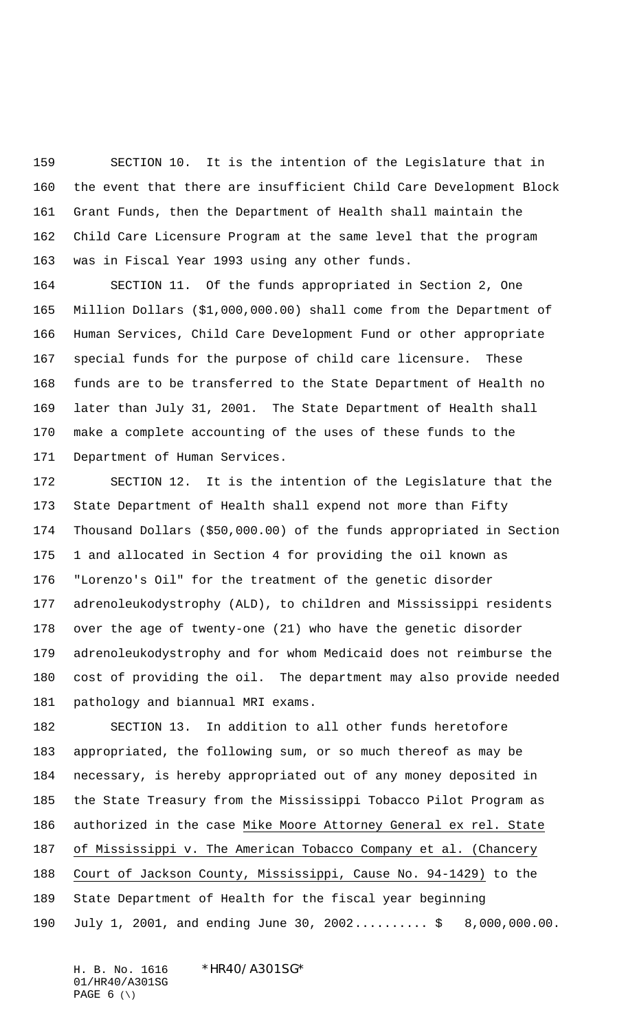SECTION 10. It is the intention of the Legislature that in the event that there are insufficient Child Care Development Block Grant Funds, then the Department of Health shall maintain the Child Care Licensure Program at the same level that the program was in Fiscal Year 1993 using any other funds.

 SECTION 11. Of the funds appropriated in Section 2, One Million Dollars (\$1,000,000.00) shall come from the Department of Human Services, Child Care Development Fund or other appropriate special funds for the purpose of child care licensure. These funds are to be transferred to the State Department of Health no later than July 31, 2001. The State Department of Health shall make a complete accounting of the uses of these funds to the Department of Human Services.

 SECTION 12. It is the intention of the Legislature that the State Department of Health shall expend not more than Fifty Thousand Dollars (\$50,000.00) of the funds appropriated in Section 1 and allocated in Section 4 for providing the oil known as "Lorenzo's Oil" for the treatment of the genetic disorder adrenoleukodystrophy (ALD), to children and Mississippi residents over the age of twenty-one (21) who have the genetic disorder adrenoleukodystrophy and for whom Medicaid does not reimburse the cost of providing the oil. The department may also provide needed pathology and biannual MRI exams.

 SECTION 13. In addition to all other funds heretofore appropriated, the following sum, or so much thereof as may be necessary, is hereby appropriated out of any money deposited in the State Treasury from the Mississippi Tobacco Pilot Program as authorized in the case Mike Moore Attorney General ex rel. State of Mississippi v. The American Tobacco Company et al. (Chancery Court of Jackson County, Mississippi, Cause No. 94-1429) to the State Department of Health for the fiscal year beginning July 1, 2001, and ending June 30, 2002.......... \$ 8,000,000.00.

H. B. No. 1616 \*HR40/A301SG\* 01/HR40/A301SG PAGE  $6 (\ \)$